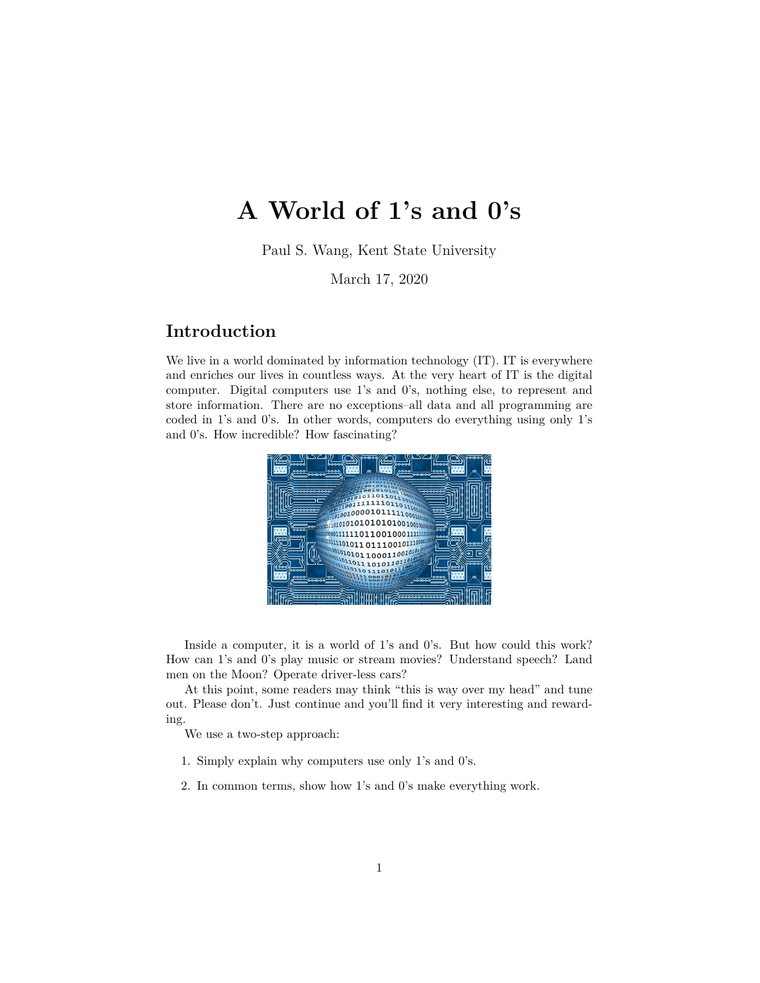# **A World of 1's and 0's**

Paul S. Wang, Kent State University

March 17, 2020

# **Introduction**

We live in a world dominated by information technology (IT). IT is everywhere and enriches our lives in countless ways. At the very heart of IT is the digital computer. Digital computers use 1's and 0's, nothing else, to represent and store information. There are no exceptions–all data and all programming are coded in 1's and 0's. In other words, computers do everything using only 1's and 0's. How incredible? How fascinating?



Inside a computer, it is a world of 1's and 0's. But how could this work? How can 1's and 0's play music or stream movies? Understand speech? Land men on the Moon? Operate driver-less cars?

At this point, some readers may think "this is way over my head" and tune out. Please don't. Just continue and you'll find it very interesting and rewarding.

We use a two-step approach:

- 1. Simply explain why computers use only 1's and 0's.
- 2. In common terms, show how 1's and 0's make everything work.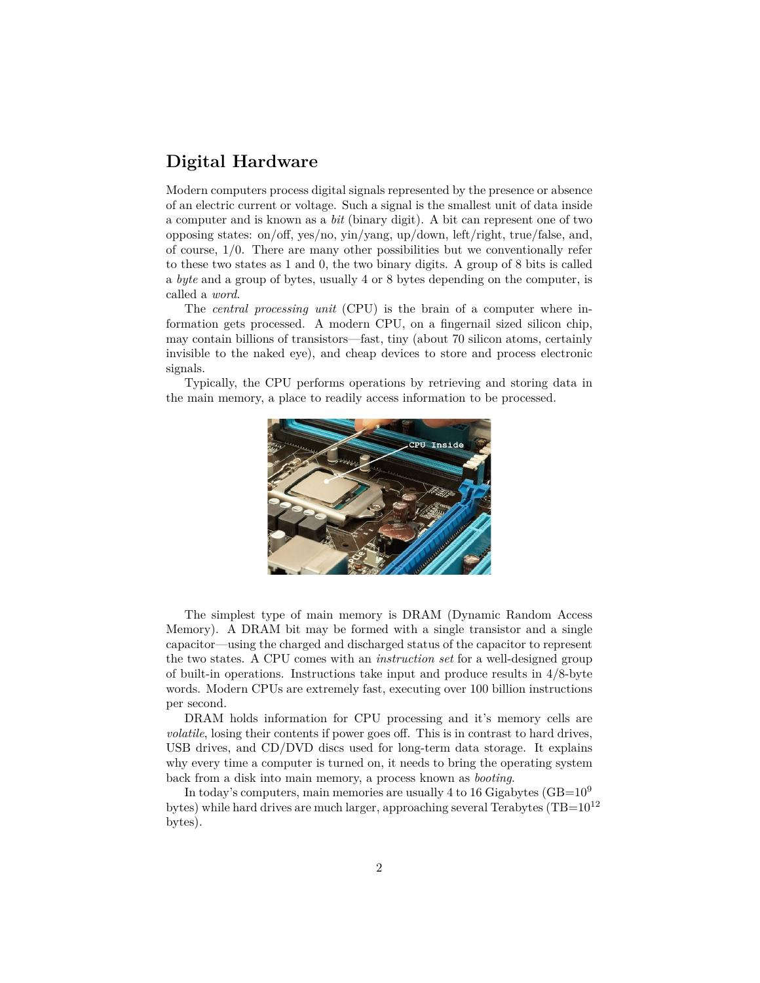# **Digital Hardware**

Modern computers process digital signals represented by the presence or absence of an electric current or voltage. Such a signal is the smallest unit of data inside a computer and is known as a *bit* (binary digit). A bit can represent one of two opposing states: on/off, yes/no, yin/yang, up/down, left/right, true/false, and, of course, 1/0. There are many other possibilities but we conventionally refer to these two states as 1 and 0, the two binary digits. A group of 8 bits is called a *byte* and a group of bytes, usually 4 or 8 bytes depending on the computer, is called a *word*.

The *central processing unit* (CPU) is the brain of a computer where information gets processed. A modern CPU, on a fingernail sized silicon chip, may contain billions of transistors—fast, tiny (about 70 silicon atoms, certainly invisible to the naked eye), and cheap devices to store and process electronic signals.

Typically, the CPU performs operations by retrieving and storing data in the main memory, a place to readily access information to be processed.



The simplest type of main memory is DRAM (Dynamic Random Access Memory). A DRAM bit may be formed with a single transistor and a single capacitor—using the charged and discharged status of the capacitor to represent the two states. A CPU comes with an *instruction set* for a well-designed group of built-in operations. Instructions take input and produce results in 4/8-byte words. Modern CPUs are extremely fast, executing over 100 billion instructions per second.

DRAM holds information for CPU processing and it's memory cells are *volatile*, losing their contents if power goes off. This is in contrast to hard drives, USB drives, and CD/DVD discs used for long-term data storage. It explains why every time a computer is turned on, it needs to bring the operating system back from a disk into main memory, a process known as *booting*.

In today's computers, main memories are usually 4 to 16 Gigabytes ( $GB=10^9$ ) bytes) while hard drives are much larger, approaching several Terabytes  $(TB=10^{12}$ bytes).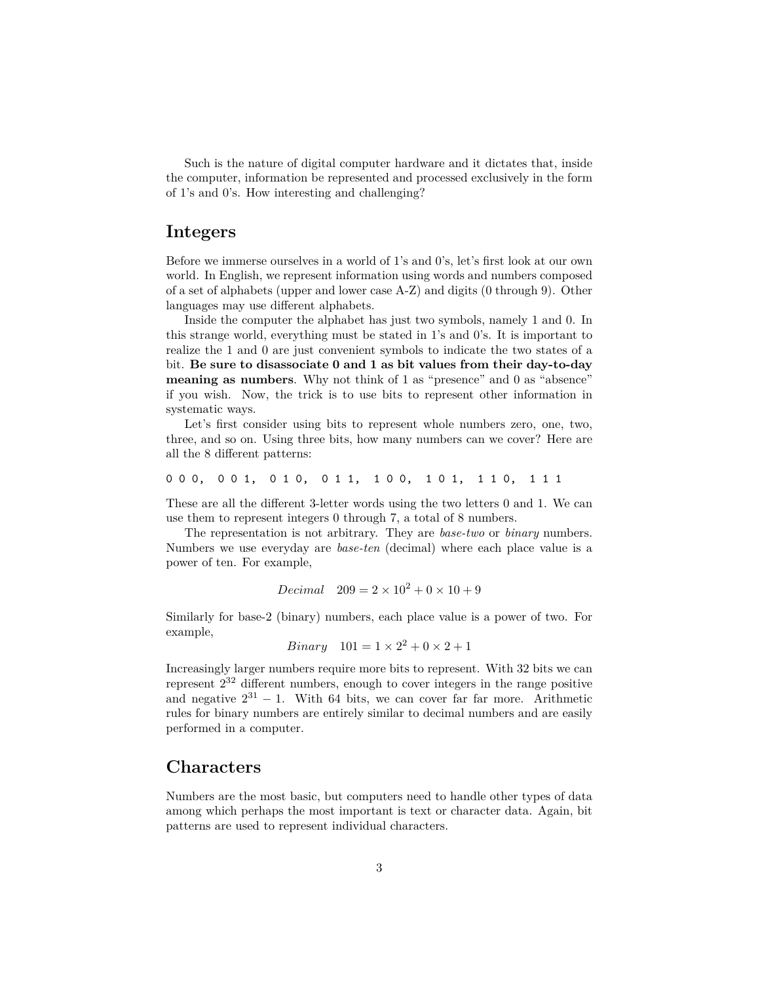Such is the nature of digital computer hardware and it dictates that, inside the computer, information be represented and processed exclusively in the form of 1's and 0's. How interesting and challenging?

#### **Integers**

Before we immerse ourselves in a world of 1's and 0's, let's first look at our own world. In English, we represent information using words and numbers composed of a set of alphabets (upper and lower case A-Z) and digits (0 through 9). Other languages may use different alphabets.

Inside the computer the alphabet has just two symbols, namely 1 and 0. In this strange world, everything must be stated in 1's and 0's. It is important to realize the 1 and 0 are just convenient symbols to indicate the two states of a bit. **Be sure to disassociate 0 and 1 as bit values from their day-to-day meaning as numbers**. Why not think of 1 as "presence" and 0 as "absence" if you wish. Now, the trick is to use bits to represent other information in systematic ways.

Let's first consider using bits to represent whole numbers zero, one, two, three, and so on. Using three bits, how many numbers can we cover? Here are all the 8 different patterns:

0 0 0, 0 0 1, 0 1 0, 0 1 1, 1 0 0, 1 0 1, 1 1 0, 1 1 1

These are all the different 3-letter words using the two letters 0 and 1. We can use them to represent integers 0 through 7, a total of 8 numbers.

The representation is not arbitrary. They are *base-two* or *binary* numbers. Numbers we use everyday are *base-ten* (decimal) where each place value is a power of ten. For example,

*Decimal* 
$$
209 = 2 \times 10^2 + 0 \times 10 + 9
$$

Similarly for base-2 (binary) numbers, each place value is a power of two. For example,

*Binary* 101 = 
$$
1 \times 2^2 + 0 \times 2 + 1
$$

Increasingly larger numbers require more bits to represent. With 32 bits we can represent  $2^{32}$  different numbers, enough to cover integers in the range positive and negative  $2^{31} - 1$ . With 64 bits, we can cover far far more. Arithmetic rules for binary numbers are entirely similar to decimal numbers and are easily performed in a computer.

#### **Characters**

Numbers are the most basic, but computers need to handle other types of data among which perhaps the most important is text or character data. Again, bit patterns are used to represent individual characters.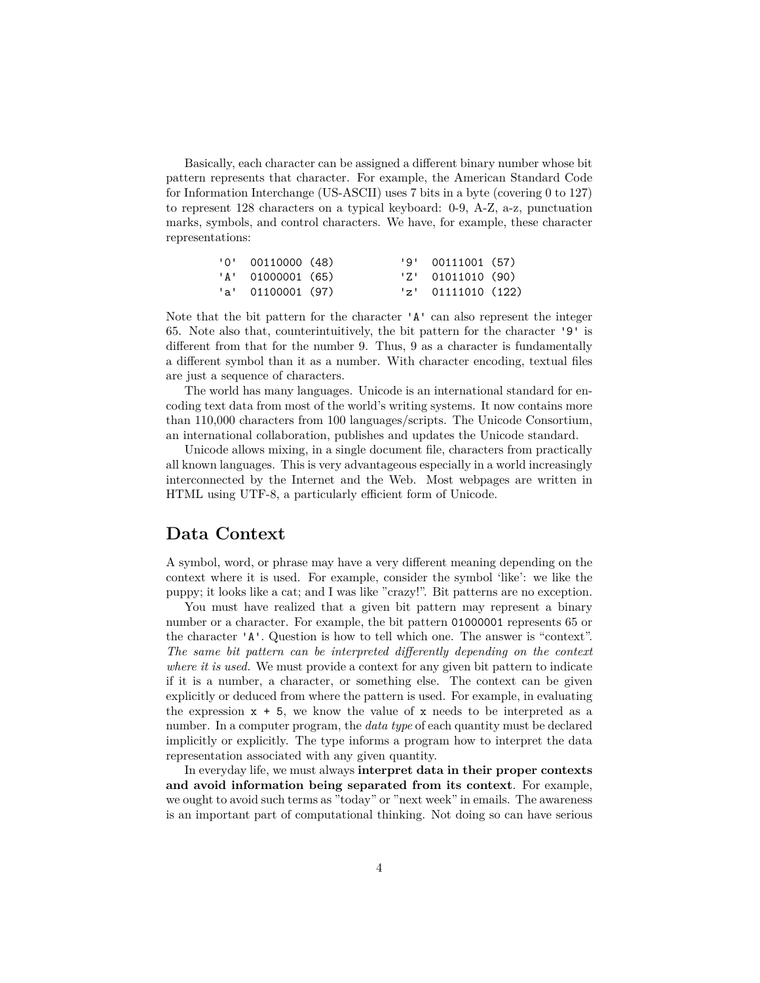Basically, each character can be assigned a different binary number whose bit pattern represents that character. For example, the American Standard Code for Information Interchange (US-ASCII) uses 7 bits in a byte (covering 0 to 127) to represent 128 characters on a typical keyboard: 0-9, A-Z, a-z, punctuation marks, symbols, and control characters. We have, for example, these character representations:

| '0' 00110000 (48) |  | $'9'$ 00111001 (57)  |  |
|-------------------|--|----------------------|--|
| 'A' 01000001 (65) |  | $'Z'$ 01011010 (90)  |  |
| 'a' 01100001 (97) |  | $'z'$ 01111010 (122) |  |

Note that the bit pattern for the character 'A' can also represent the integer 65. Note also that, counterintuitively, the bit pattern for the character '9' is different from that for the number 9. Thus, 9 as a character is fundamentally a different symbol than it as a number. With character encoding, textual files are just a sequence of characters.

The world has many languages. Unicode is an international standard for encoding text data from most of the world's writing systems. It now contains more than 110,000 characters from 100 languages/scripts. The Unicode Consortium, an international collaboration, publishes and updates the Unicode standard.

Unicode allows mixing, in a single document file, characters from practically all known languages. This is very advantageous especially in a world increasingly interconnected by the Internet and the Web. Most webpages are written in HTML using UTF-8, a particularly efficient form of Unicode.

#### **Data Context**

A symbol, word, or phrase may have a very different meaning depending on the context where it is used. For example, consider the symbol 'like': we like the puppy; it looks like a cat; and I was like "crazy!". Bit patterns are no exception.

You must have realized that a given bit pattern may represent a binary number or a character. For example, the bit pattern 01000001 represents 65 or the character 'A'. Question is how to tell which one. The answer is "context". *The same bit pattern can be interpreted differently depending on the context where it is used.* We must provide a context for any given bit pattern to indicate if it is a number, a character, or something else. The context can be given explicitly or deduced from where the pattern is used. For example, in evaluating the expression  $x + 5$ , we know the value of x needs to be interpreted as a number. In a computer program, the *data type* of each quantity must be declared implicitly or explicitly. The type informs a program how to interpret the data representation associated with any given quantity.

In everyday life, we must always **interpret data in their proper contexts and avoid information being separated from its context**. For example, we ought to avoid such terms as "today" or "next week" in emails. The awareness is an important part of computational thinking. Not doing so can have serious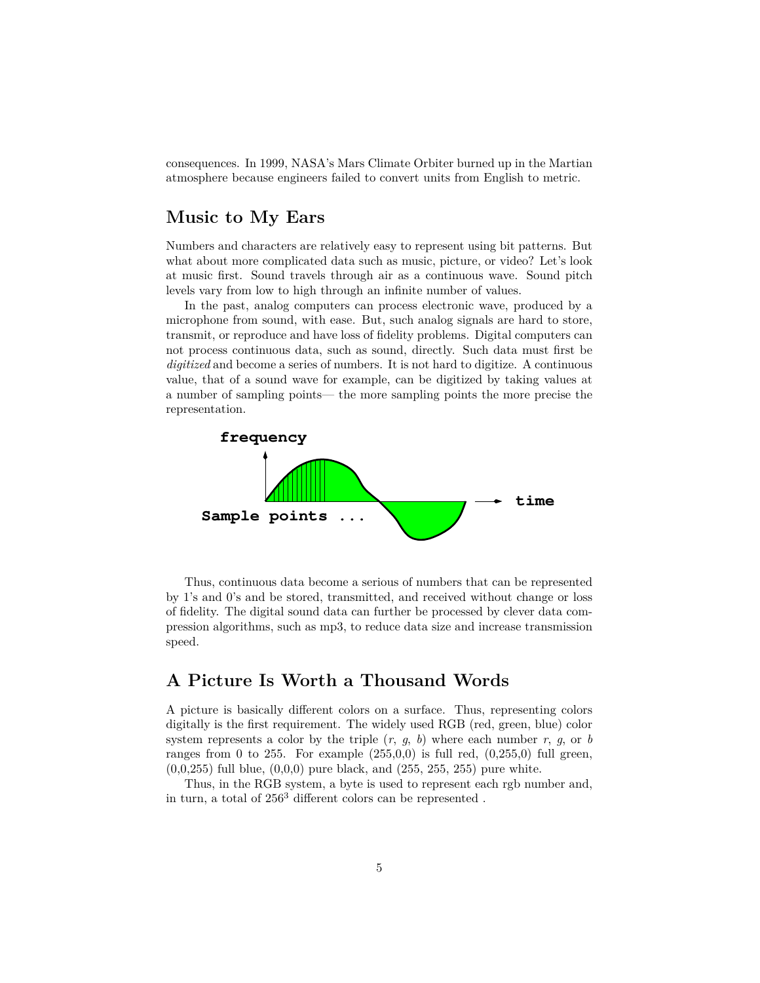consequences. In 1999, NASA's Mars Climate Orbiter burned up in the Martian atmosphere because engineers failed to convert units from English to metric.

# **Music to My Ears**

Numbers and characters are relatively easy to represent using bit patterns. But what about more complicated data such as music, picture, or video? Let's look at music first. Sound travels through air as a continuous wave. Sound pitch levels vary from low to high through an infinite number of values.

In the past, analog computers can process electronic wave, produced by a microphone from sound, with ease. But, such analog signals are hard to store, transmit, or reproduce and have loss of fidelity problems. Digital computers can not process continuous data, such as sound, directly. Such data must first be *digitized* and become a series of numbers. It is not hard to digitize. A continuous value, that of a sound wave for example, can be digitized by taking values at a number of sampling points— the more sampling points the more precise the representation.



Thus, continuous data become a serious of numbers that can be represented by 1's and 0's and be stored, transmitted, and received without change or loss of fidelity. The digital sound data can further be processed by clever data compression algorithms, such as mp3, to reduce data size and increase transmission speed.

## **A Picture Is Worth a Thousand Words**

A picture is basically different colors on a surface. Thus, representing colors digitally is the first requirement. The widely used RGB (red, green, blue) color system represents a color by the triple  $(r, g, b)$  where each number  $r, g,$  or  $b$ ranges from 0 to 255. For example  $(255,0,0)$  is full red,  $(0,255,0)$  full green,  $(0,0,255)$  full blue,  $(0,0,0)$  pure black, and  $(255, 255, 255)$  pure white.

Thus, in the RGB system, a byte is used to represent each rgb number and, in turn, a total of 256<sup>3</sup> different colors can be represented .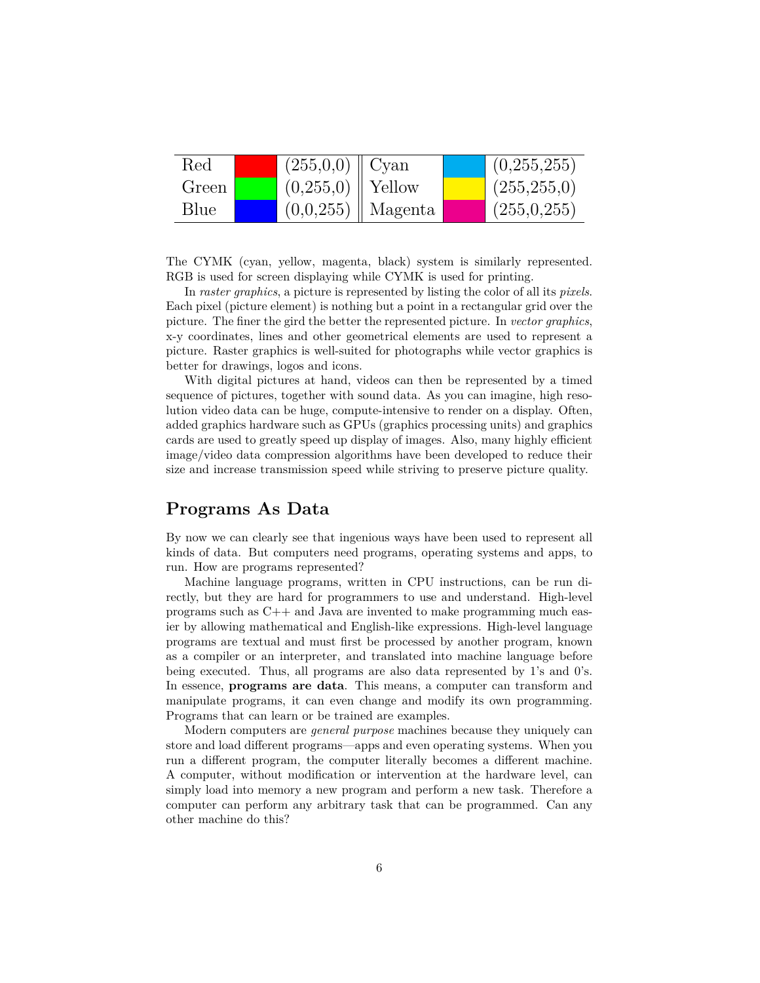| Red   | $(255,0,0)$   Cyan   |                       | (0,255,255)   |
|-------|----------------------|-----------------------|---------------|
| Green | $(0,255,0)$   Yellow |                       | (255, 255, 0) |
| Blue  |                      | $(0,0,255)$   Magenta | (255,0,255)   |

The CYMK (cyan, yellow, magenta, black) system is similarly represented. RGB is used for screen displaying while CYMK is used for printing.

In *raster graphics*, a picture is represented by listing the color of all its *pixels*. Each pixel (picture element) is nothing but a point in a rectangular grid over the picture. The finer the gird the better the represented picture. In *vector graphics*, x-y coordinates, lines and other geometrical elements are used to represent a picture. Raster graphics is well-suited for photographs while vector graphics is better for drawings, logos and icons.

With digital pictures at hand, videos can then be represented by a timed sequence of pictures, together with sound data. As you can imagine, high resolution video data can be huge, compute-intensive to render on a display. Often, added graphics hardware such as GPUs (graphics processing units) and graphics cards are used to greatly speed up display of images. Also, many highly efficient image/video data compression algorithms have been developed to reduce their size and increase transmission speed while striving to preserve picture quality.

#### **Programs As Data**

By now we can clearly see that ingenious ways have been used to represent all kinds of data. But computers need programs, operating systems and apps, to run. How are programs represented?

Machine language programs, written in CPU instructions, can be run directly, but they are hard for programmers to use and understand. High-level programs such as C++ and Java are invented to make programming much easier by allowing mathematical and English-like expressions. High-level language programs are textual and must first be processed by another program, known as a compiler or an interpreter, and translated into machine language before being executed. Thus, all programs are also data represented by 1's and 0's. In essence, **programs are data**. This means, a computer can transform and manipulate programs, it can even change and modify its own programming. Programs that can learn or be trained are examples.

Modern computers are *general purpose* machines because they uniquely can store and load different programs—apps and even operating systems. When you run a different program, the computer literally becomes a different machine. A computer, without modification or intervention at the hardware level, can simply load into memory a new program and perform a new task. Therefore a computer can perform any arbitrary task that can be programmed. Can any other machine do this?